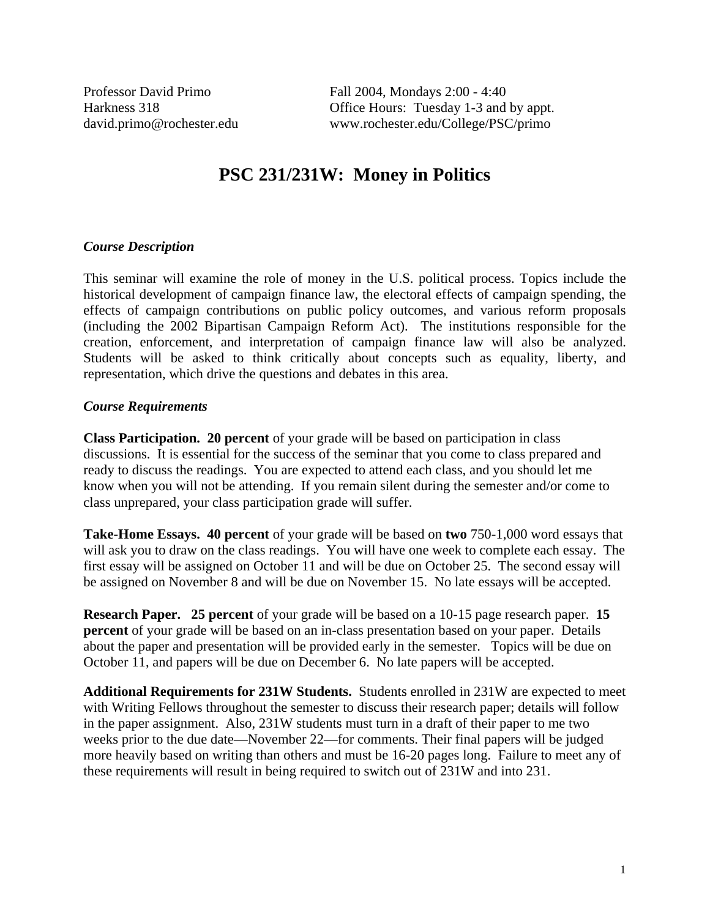Professor David Primo Fall 2004, Mondays 2:00 - 4:40 Harkness 318 **Office Hours:** Tuesday 1-3 and by appt. david.primo@rochester.edu www.rochester.edu/College/PSC/primo

# **PSC 231/231W: Money in Politics**

#### *Course Description*

This seminar will examine the role of money in the U.S. political process. Topics include the historical development of campaign finance law, the electoral effects of campaign spending, the effects of campaign contributions on public policy outcomes, and various reform proposals (including the 2002 Bipartisan Campaign Reform Act). The institutions responsible for the creation, enforcement, and interpretation of campaign finance law will also be analyzed. Students will be asked to think critically about concepts such as equality, liberty, and representation, which drive the questions and debates in this area.

#### *Course Requirements*

**Class Participation. 20 percent** of your grade will be based on participation in class discussions. It is essential for the success of the seminar that you come to class prepared and ready to discuss the readings. You are expected to attend each class, and you should let me know when you will not be attending. If you remain silent during the semester and/or come to class unprepared, your class participation grade will suffer.

**Take-Home Essays. 40 percent** of your grade will be based on **two** 750-1,000 word essays that will ask you to draw on the class readings. You will have one week to complete each essay. The first essay will be assigned on October 11 and will be due on October 25. The second essay will be assigned on November 8 and will be due on November 15. No late essays will be accepted.

**Research Paper. 25 percent** of your grade will be based on a 10-15 page research paper. **15 percent** of your grade will be based on an in-class presentation based on your paper. Details about the paper and presentation will be provided early in the semester. Topics will be due on October 11, and papers will be due on December 6. No late papers will be accepted.

**Additional Requirements for 231W Students.** Students enrolled in 231W are expected to meet with Writing Fellows throughout the semester to discuss their research paper; details will follow in the paper assignment. Also, 231W students must turn in a draft of their paper to me two weeks prior to the due date—November 22—for comments. Their final papers will be judged more heavily based on writing than others and must be 16-20 pages long. Failure to meet any of these requirements will result in being required to switch out of 231W and into 231.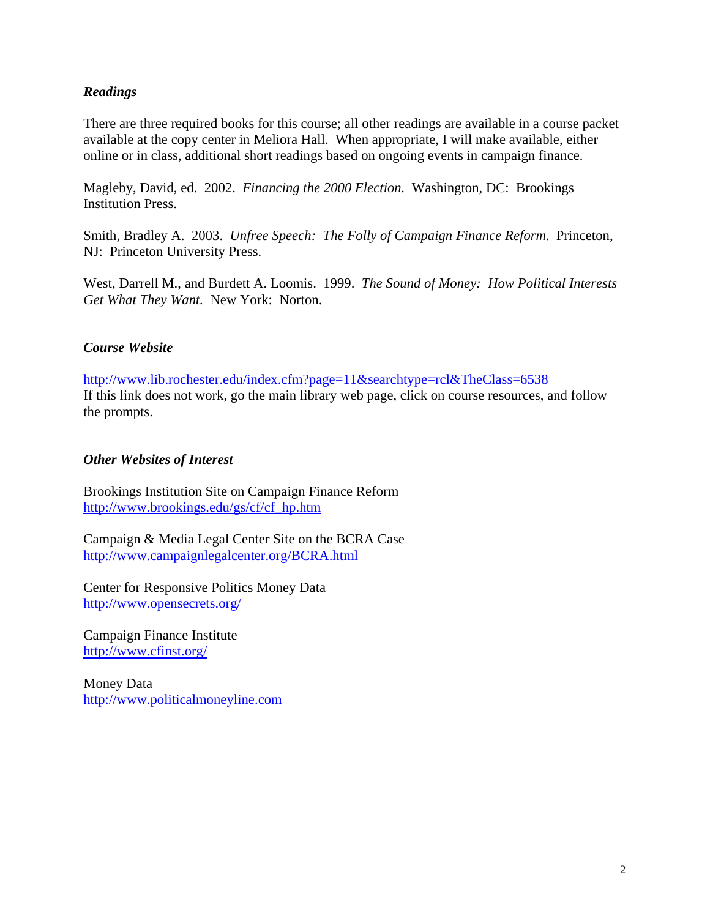## *Readings*

There are three required books for this course; all other readings are available in a course packet available at the copy center in Meliora Hall. When appropriate, I will make available, either online or in class, additional short readings based on ongoing events in campaign finance.

Magleby, David, ed. 2002. *Financing the 2000 Election.* Washington, DC: Brookings Institution Press.

Smith, Bradley A. 2003. *Unfree Speech: The Folly of Campaign Finance Reform*. Princeton, NJ: Princeton University Press.

West, Darrell M., and Burdett A. Loomis. 1999. *The Sound of Money: How Political Interests Get What They Want.* New York: Norton.

#### *Course Website*

http://www.lib.rochester.edu/index.cfm?page=11&searchtype=rcl&TheClass=6538 If this link does not work, go the main library web page, click on course resources, and follow the prompts.

#### *Other Websites of Interest*

Brookings Institution Site on Campaign Finance Reform http://www.brookings.edu/gs/cf/cf\_hp.htm

Campaign & Media Legal Center Site on the BCRA Case http://www.campaignlegalcenter.org/BCRA.html

Center for Responsive Politics Money Data http://www.opensecrets.org/

Campaign Finance Institute http://www.cfinst.org/

Money Data http://www.politicalmoneyline.com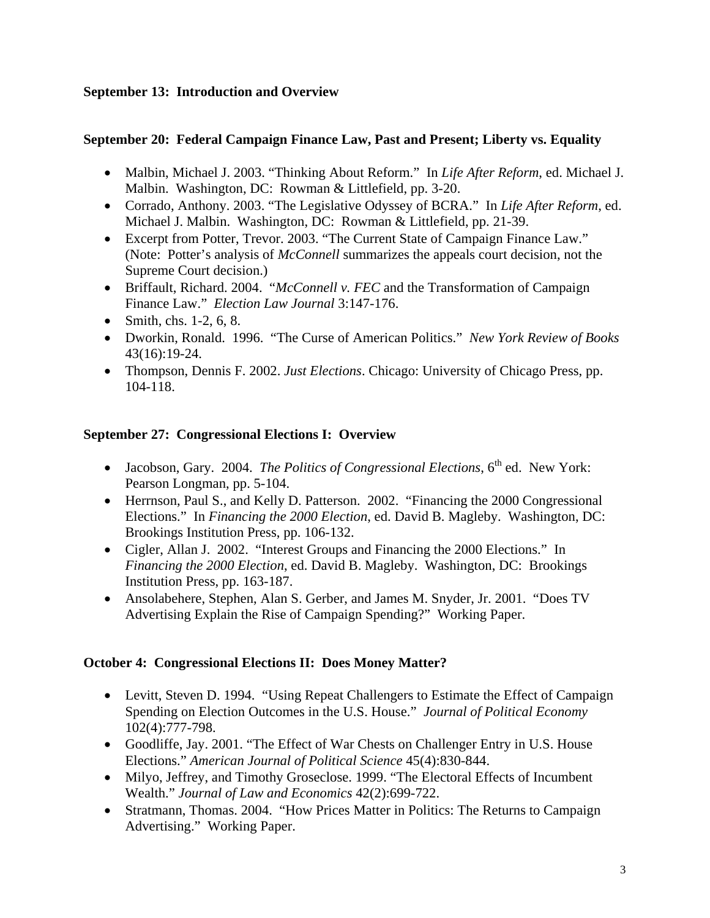# **September 13: Introduction and Overview**

# **September 20: Federal Campaign Finance Law, Past and Present; Liberty vs. Equality**

- Malbin, Michael J. 2003. "Thinking About Reform." In *Life After Reform*, ed. Michael J. Malbin. Washington, DC: Rowman & Littlefield, pp. 3-20.
- Corrado, Anthony. 2003. "The Legislative Odyssey of BCRA." In *Life After Reform*, ed. Michael J. Malbin. Washington, DC: Rowman & Littlefield, pp. 21-39.
- Excerpt from Potter, Trevor. 2003. "The Current State of Campaign Finance Law." (Note: Potter's analysis of *McConnell* summarizes the appeals court decision, not the Supreme Court decision.)
- Briffault, Richard. 2004. "*McConnell v. FEC* and the Transformation of Campaign Finance Law." *Election Law Journal* 3:147-176.
- Smith, chs.  $1-2, 6, 8$ .
- Dworkin, Ronald. 1996. "The Curse of American Politics." *New York Review of Books* 43(16):19-24.
- Thompson, Dennis F. 2002. *Just Elections*. Chicago: University of Chicago Press, pp. 104-118.

# **September 27: Congressional Elections I: Overview**

- Jacobson, Gary. 2004. *The Politics of Congressional Elections*, 6<sup>th</sup> ed. New York: Pearson Longman, pp. 5-104.
- Herrnson, Paul S., and Kelly D. Patterson. 2002. "Financing the 2000 Congressional Elections." In *Financing the 2000 Election*, ed. David B. Magleby. Washington, DC: Brookings Institution Press, pp. 106-132.
- Cigler, Allan J. 2002. "Interest Groups and Financing the 2000 Elections." In *Financing the 2000 Election*, ed. David B. Magleby. Washington, DC: Brookings Institution Press, pp. 163-187.
- Ansolabehere, Stephen, Alan S. Gerber, and James M. Snyder, Jr. 2001. "Does TV Advertising Explain the Rise of Campaign Spending?" Working Paper.

## **October 4: Congressional Elections II: Does Money Matter?**

- Levitt, Steven D. 1994. "Using Repeat Challengers to Estimate the Effect of Campaign Spending on Election Outcomes in the U.S. House." *Journal of Political Economy*  102(4):777-798.
- Goodliffe, Jay. 2001. "The Effect of War Chests on Challenger Entry in U.S. House Elections." *American Journal of Political Science* 45(4):830-844.
- Milyo, Jeffrey, and Timothy Groseclose. 1999. "The Electoral Effects of Incumbent Wealth." *Journal of Law and Economics* 42(2):699-722.
- Stratmann, Thomas. 2004. "How Prices Matter in Politics: The Returns to Campaign Advertising." Working Paper.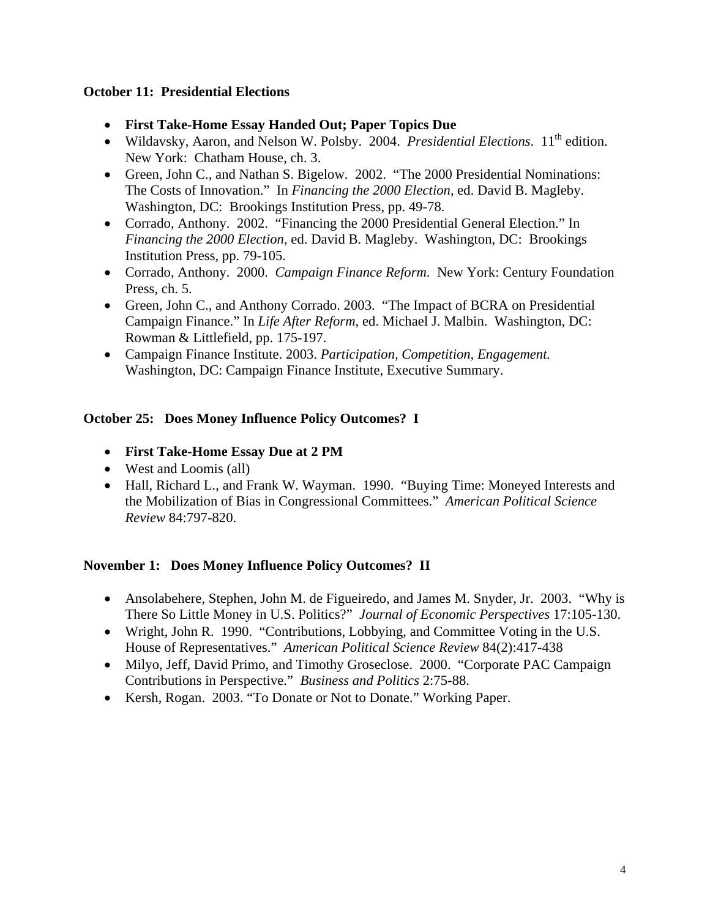## **October 11: Presidential Elections**

- **First Take-Home Essay Handed Out; Paper Topics Due**
- Wildavsky, Aaron, and Nelson W. Polsby. 2004. *Presidential Elections*. 11<sup>th</sup> edition. New York: Chatham House, ch. 3.
- Green, John C., and Nathan S. Bigelow. 2002. "The 2000 Presidential Nominations: The Costs of Innovation." In *Financing the 2000 Election*, ed. David B. Magleby. Washington, DC: Brookings Institution Press, pp. 49-78.
- Corrado, Anthony. 2002. "Financing the 2000 Presidential General Election." In *Financing the 2000 Election*, ed. David B. Magleby. Washington, DC: Brookings Institution Press, pp. 79-105.
- Corrado, Anthony. 2000. *Campaign Finance Reform*. New York: Century Foundation Press, ch. 5.
- Green, John C., and Anthony Corrado. 2003. "The Impact of BCRA on Presidential Campaign Finance." In *Life After Reform*, ed. Michael J. Malbin. Washington, DC: Rowman & Littlefield, pp. 175-197.
- Campaign Finance Institute. 2003. *Participation, Competition, Engagement.* Washington, DC: Campaign Finance Institute, Executive Summary.

## **October 25: Does Money Influence Policy Outcomes? I**

- **First Take-Home Essay Due at 2 PM**
- West and Loomis (all)
- Hall, Richard L., and Frank W. Wayman. 1990. "Buying Time: Moneyed Interests and the Mobilization of Bias in Congressional Committees." *American Political Science Review* 84:797-820.

## **November 1: Does Money Influence Policy Outcomes? II**

- Ansolabehere, Stephen, John M. de Figueiredo, and James M. Snyder, Jr. 2003. "Why is There So Little Money in U.S. Politics?" *Journal of Economic Perspectives* 17:105-130.
- Wright, John R. 1990. "Contributions, Lobbying, and Committee Voting in the U.S. House of Representatives." *American Political Science Review* 84(2):417-438
- Milyo, Jeff, David Primo, and Timothy Groseclose. 2000. "Corporate PAC Campaign Contributions in Perspective." *Business and Politics* 2:75-88.
- Kersh, Rogan. 2003. "To Donate or Not to Donate." Working Paper.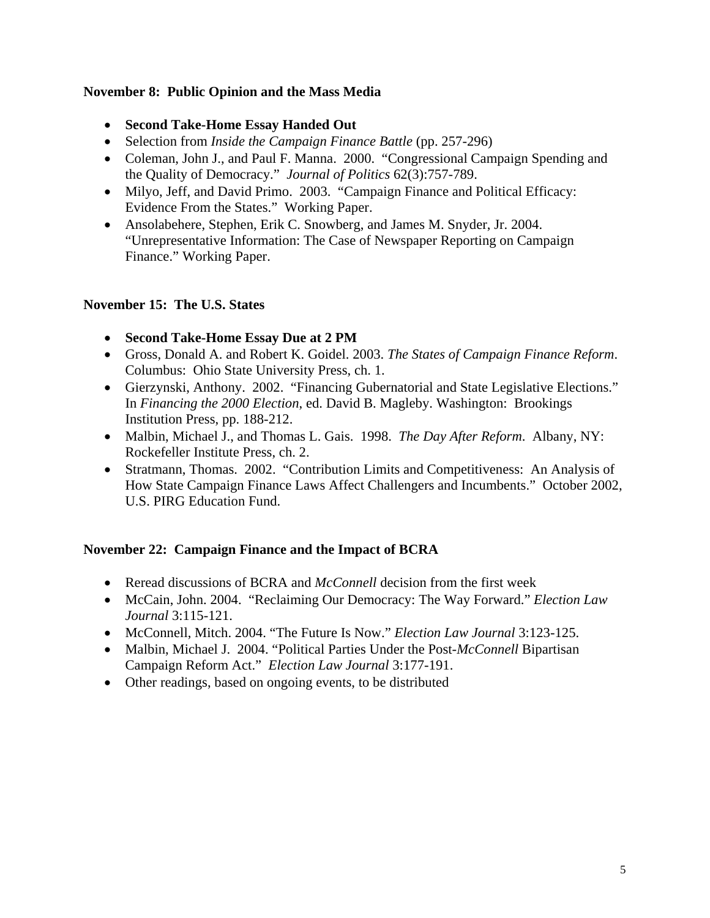#### **November 8: Public Opinion and the Mass Media**

- **Second Take-Home Essay Handed Out**
- Selection from *Inside the Campaign Finance Battle* (pp. 257-296)
- Coleman, John J., and Paul F. Manna. 2000. "Congressional Campaign Spending and the Quality of Democracy." *Journal of Politics* 62(3):757-789.
- Milyo, Jeff, and David Primo. 2003. "Campaign Finance and Political Efficacy: Evidence From the States." Working Paper.
- Ansolabehere, Stephen, Erik C. Snowberg, and James M. Snyder, Jr. 2004. "Unrepresentative Information: The Case of Newspaper Reporting on Campaign Finance." Working Paper.

#### **November 15: The U.S. States**

- **Second Take-Home Essay Due at 2 PM**
- Gross, Donald A. and Robert K. Goidel. 2003. *The States of Campaign Finance Reform*. Columbus: Ohio State University Press, ch. 1.
- Gierzynski, Anthony. 2002. "Financing Gubernatorial and State Legislative Elections." In *Financing the 2000 Election*, ed. David B. Magleby. Washington: Brookings Institution Press, pp. 188-212.
- Malbin, Michael J., and Thomas L. Gais. 1998. *The Day After Reform*. Albany, NY: Rockefeller Institute Press, ch. 2.
- Stratmann, Thomas. 2002. "Contribution Limits and Competitiveness: An Analysis of How State Campaign Finance Laws Affect Challengers and Incumbents." October 2002, U.S. PIRG Education Fund.

## **November 22: Campaign Finance and the Impact of BCRA**

- Reread discussions of BCRA and *McConnell* decision from the first week
- McCain, John. 2004. "Reclaiming Our Democracy: The Way Forward." *Election Law Journal* 3:115-121.
- McConnell, Mitch. 2004. "The Future Is Now." *Election Law Journal* 3:123-125.
- Malbin, Michael J. 2004. "Political Parties Under the Post-*McConnell* Bipartisan Campaign Reform Act." *Election Law Journal* 3:177-191.
- Other readings, based on ongoing events, to be distributed